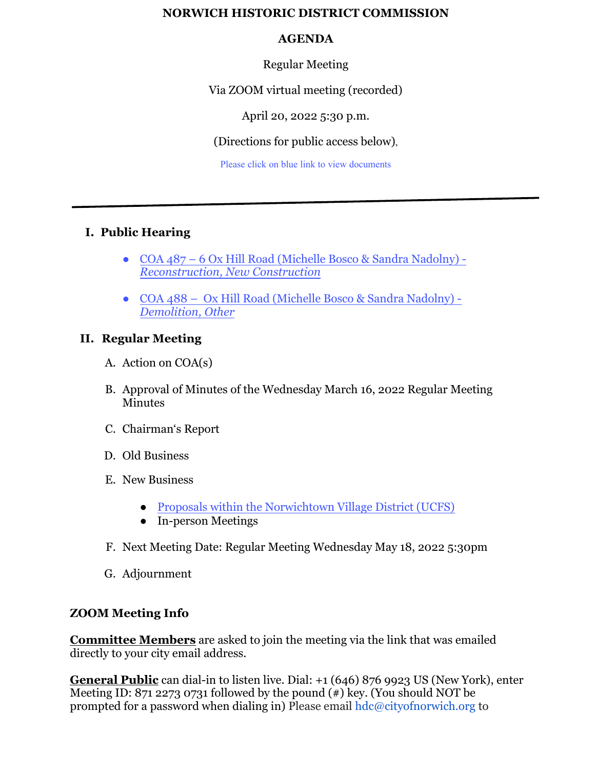### **NORWICH HISTORIC DISTRICT COMMISSION**

### **AGENDA**

Regular Meeting

Via ZOOM virtual meeting (recorded)

April 20, 2022 5:30 p.m.

(Directions for public access below),

Please click on blue link to view documents

# **I. Public Hearing**

- COA 487 6 Ox Hill Road (Michelle Bosco & Sandra Nadolny) *[Reconstruction, New Construction](https://www.norwichct.org/DocumentCenter/View/8189/COA-487---6-Ox-Hill-Road)*
- COA 488 Ox Hill Road (Michelle [Bosco & Sandra Nadolny\)](https://www.norwichct.org/DocumentCenter/View/8188/COA-488---6-Ox-Hill-Road) -*Demolition, Other*

# **II. Regular Meeting**

- A. Action on COA(s)
- B. Approval of Minutes of the Wednesday March 16, 2022 Regular Meeting Minutes
- C. Chairman's Report
- D. Old Business
- E. New Business
	- [Proposals within the Norwichtown Village District \(UCFS\)](https://www.norwichct.org/DocumentCenter/View/8187/UCFS-Referall)
	- In-person Meetings
- F. Next Meeting Date: Regular Meeting Wednesday May 18, 2022 5:30pm
- G. Adjournment

# **ZOOM Meeting Info**

**Committee Members** are asked to join the meeting via the link that was emailed directly to your city email address.

**General Public** can dial-in to listen live. Dial: +1 (646) 876 9923 US (New York), enter Meeting ID: 871 2273 0731 followed by the pound  $(*)$  key. (You should NOT be prompted for a password when dialing in) Please email hdc@cityofnorwich.org to